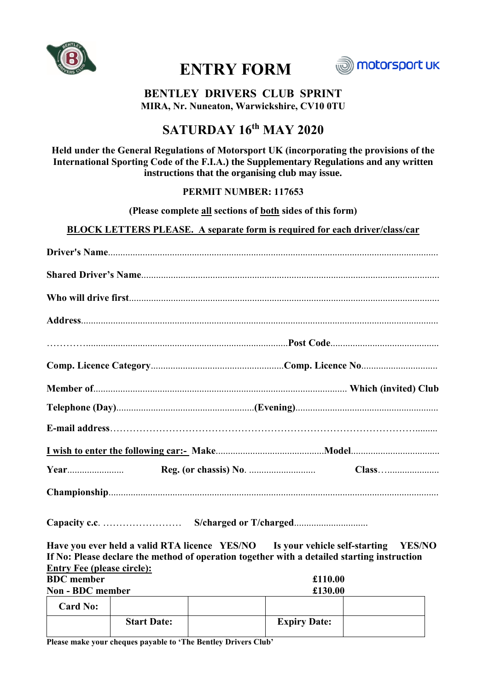

# **ENTRY FORM**



# **BENTLEY DRIVERS CLUB SPRINT MIRA, Nr. Nuneaton, Warwickshire, CV10 0TU**

# **SATURDAY 16th MAY 2020**

# **Held under the General Regulations of Motorsport UK (incorporating the provisions of the International Sporting Code of the F.I.A.) the Supplementary Regulations and any written instructions that the organising club may issue.**

# **PERMIT NUMBER: 117653**

**(Please complete all sections of both sides of this form)**

## **BLOCK LETTERS PLEASE. A separate form is required for each driver/class/car**

**Capacity c.c**. …………………… **S/charged or T/charged**..............................

**Have you ever held a valid RTA licence YES/NO Is your vehicle self-starting YES/NO If No: Please declare the method of operation together with a detailed starting instruction Entry Fee (please circle):**

| <b>BDC</b> member       | £110.00 |
|-------------------------|---------|
| <b>Non - BDC member</b> | £130.00 |
|                         |         |

| <b>Card No:</b> |                    |                     |  |
|-----------------|--------------------|---------------------|--|
|                 | <b>Start Date:</b> | <b>Expiry Date:</b> |  |

**Please make your cheques payable to 'The Bentley Drivers Club'**